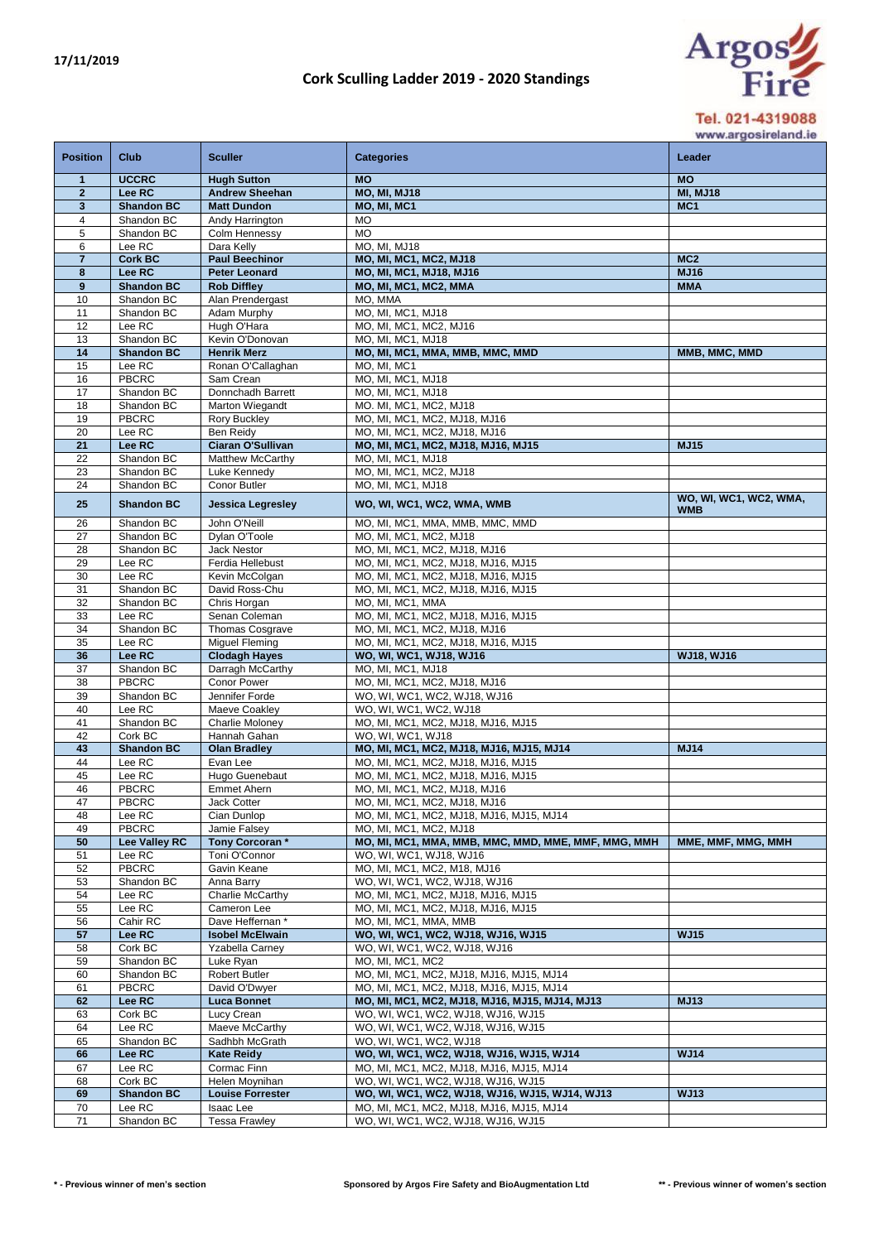## **Cork Sculling Ladder 2019 - 2020 Standings**



www.argosireland.ie

| <b>Position</b>                | <b>Club</b>                     | <b>Sculler</b>                              | <b>Categories</b>                                                                          | Leader                             |
|--------------------------------|---------------------------------|---------------------------------------------|--------------------------------------------------------------------------------------------|------------------------------------|
| $\mathbf{1}$                   | <b>UCCRC</b>                    | <b>Hugh Sutton</b>                          | <b>MO</b>                                                                                  | <b>MO</b>                          |
| $\overline{2}$<br>$\mathbf{3}$ | Lee RC<br><b>Shandon BC</b>     | <b>Andrew Sheehan</b><br><b>Matt Dundon</b> | <b>MO, MI, MJ18</b><br>MO, MI, MC1                                                         | <b>MI, MJ18</b><br>MC <sub>1</sub> |
| 4                              | Shandon BC                      | Andy Harrington                             | МO                                                                                         |                                    |
| 5                              | Shandon BC                      | Colm Hennessy                               | <b>MO</b>                                                                                  |                                    |
| 6                              | Lee RC                          | Dara Kelly                                  | MO, MI, MJ18                                                                               |                                    |
| $\overline{7}$                 | <b>Cork BC</b>                  | <b>Paul Beechinor</b>                       | <b>MO, MI, MC1, MC2, MJ18</b>                                                              | MC <sub>2</sub>                    |
| 8                              | Lee RC                          | Peter Leonard                               | <b>MO, MI, MC1, MJ18, MJ16</b>                                                             | <b>MJ16</b>                        |
| 9<br>10                        | <b>Shandon BC</b><br>Shandon BC | <b>Rob Diffley</b><br>Alan Prendergast      | MO, MI, MC1, MC2, MMA<br>MO, MMA                                                           | <b>MMA</b>                         |
| 11                             | Shandon BC                      | Adam Murphy                                 | MO, MI, MC1, MJ18                                                                          |                                    |
| 12                             | Lee RC                          | Hugh O'Hara                                 | MO, MI, MC1, MC2, MJ16                                                                     |                                    |
| 13                             | Shandon BC                      | Kevin O'Donovan                             | MO, MI, MC1, MJ18                                                                          |                                    |
| 14                             | <b>Shandon BC</b>               | <b>Henrik Merz</b>                          | MO, MI, MC1, MMA, MMB, MMC, MMD                                                            | MMB, MMC, MMD                      |
| 15<br>16                       | Lee RC<br><b>PBCRC</b>          | Ronan O'Callaghan                           | MO, MI, MC1                                                                                |                                    |
| 17                             | Shandon BC                      | Sam Crean<br>Donnchadh Barrett              | MO, MI, MC1, MJ18<br>MO, MI, MC1, MJ18                                                     |                                    |
| 18                             | Shandon BC                      | Marton Wiegandt                             | MO. MI, MC1, MC2, MJ18                                                                     |                                    |
| 19                             | <b>PBCRC</b>                    | <b>Rory Buckley</b>                         | MO, MI, MC1, MC2, MJ18, MJ16                                                               |                                    |
| 20                             | Lee RC                          | Ben Reidy                                   | MO, MI, MC1, MC2, MJ18, MJ16                                                               |                                    |
| 21                             | Lee RC                          | Ciaran O'Sullivan                           | MO, MI, MC1, MC2, MJ18, MJ16, MJ15                                                         | <b>MJ15</b>                        |
| 22                             | Shandon BC                      | Matthew McCarthy                            | MO, MI, MC1, MJ18                                                                          |                                    |
| 23<br>24                       | Shandon BC<br>Shandon BC        | Luke Kennedy<br>Conor Butler                | MO, MI, MC1, MC2, MJ18<br>MO, MI, MC1, MJ18                                                |                                    |
|                                |                                 |                                             |                                                                                            | WO, WI, WC1, WC2, WMA,             |
| 25                             | <b>Shandon BC</b>               | <b>Jessica Legresley</b>                    | WO, WI, WC1, WC2, WMA, WMB                                                                 | <b>WMB</b>                         |
| 26                             | Shandon BC                      | John O'Neill                                | MO, MI, MC1, MMA, MMB, MMC, MMD                                                            |                                    |
| 27                             | Shandon BC                      | Dylan O'Toole                               | MO, MI, MC1, MC2, MJ18                                                                     |                                    |
| 28<br>29                       | Shandon BC<br>Lee RC            | <b>Jack Nestor</b><br>Ferdia Hellebust      | MO, MI, MC1, MC2, MJ18, MJ16<br>MO, MI, MC1, MC2, MJ18, MJ16, MJ15                         |                                    |
| 30                             | Lee RC                          | Kevin McColgan                              | MO, MI, MC1, MC2, MJ18, MJ16, MJ15                                                         |                                    |
| 31                             | Shandon BC                      | David Ross-Chu                              | MO, MI, MC1, MC2, MJ18, MJ16, MJ15                                                         |                                    |
| 32                             | Shandon BC                      | Chris Horgan                                | MO, MI, MC1, MMA                                                                           |                                    |
| 33                             | Lee RC                          | Senan Coleman                               | MO, MI, MC1, MC2, MJ18, MJ16, MJ15                                                         |                                    |
| 34                             | Shandon BC                      | <b>Thomas Cosgrave</b>                      | MO, MI, MC1, MC2, MJ18, MJ16                                                               |                                    |
| 35<br>36                       | Lee RC<br>Lee RC                | Miquel Fleming<br><b>Clodagh Hayes</b>      | MO, MI, MC1, MC2, MJ18, MJ16, MJ15<br>WO, WI, WC1, WJ18, WJ16                              | <b>WJ18, WJ16</b>                  |
| 37                             | Shandon BC                      | Darragh McCarthy                            | MO, MI, MC1, MJ18                                                                          |                                    |
| 38                             | <b>PBCRC</b>                    | Conor Power                                 | MO, MI, MC1, MC2, MJ18, MJ16                                                               |                                    |
| 39                             | Shandon BC                      | Jennifer Forde                              | WO, WI, WC1, WC2, WJ18, WJ16                                                               |                                    |
| 40                             | Lee RC                          | Maeve Coakley                               | WO, WI, WC1, WC2, WJ18                                                                     |                                    |
| 41<br>42                       | Shandon BC<br>Cork BC           | Charlie Moloney<br>Hannah Gahan             | MO, MI, MC1, MC2, MJ18, MJ16, MJ15<br>WO. WI. WC1. WJ18                                    |                                    |
| 43                             | <b>Shandon BC</b>               | <b>Olan Bradley</b>                         | MO, MI, MC1, MC2, MJ18, MJ16, MJ15, MJ14                                                   | <b>MJ14</b>                        |
| 44                             | Lee RC                          | Evan Lee                                    | MO, MI, MC1, MC2, MJ18, MJ16, MJ15                                                         |                                    |
| 45                             | Lee RC                          | Hugo Guenebaut                              | MO, MI, MC1, MC2, MJ18, MJ16, MJ15                                                         |                                    |
| 46                             | <b>PBCRC</b>                    | <b>Emmet Ahern</b>                          | MO, MI, MC1, MC2, MJ18, MJ16                                                               |                                    |
| 47                             | PBCRC                           | Jack Cotter                                 | MO, MI, MC1, MC2, MJ18, MJ16                                                               |                                    |
| 48<br>49                       | Lee RC<br><b>PBCRC</b>          | Cian Dunlop<br>Jamie Falsey                 | MO, MI, MC1, MC2, MJ18, MJ16, MJ15, MJ14<br>MO, MI, MC1, MC2, MJ18                         |                                    |
| 50                             | Lee Valley RC                   | Tony Corcoran*                              | MO, MI, MC1, MMA, MMB, MMC, MMD, MME, MMF, MMG, MMH                                        | MME, MMF, MMG, MMH                 |
| 51                             | Lee RC                          | Toni O'Connor                               | WO, WI, WC1, WJ18, WJ16                                                                    |                                    |
| 52                             | <b>PBCRC</b>                    | Gavin Keane                                 | MO, MI, MC1, MC2, M18, MJ16                                                                |                                    |
| 53                             | Shandon BC                      | Anna Barry                                  | WO, WI, WC1, WC2, WJ18, WJ16                                                               |                                    |
| 54                             | Lee RC                          | Charlie McCarthy                            | MO, MI, MC1, MC2, MJ18, MJ16, MJ15                                                         |                                    |
| 55<br>56                       | Lee RC<br>Cahir RC              | Cameron Lee<br>Dave Heffernan *             | MO, MI, MC1, MC2, MJ18, MJ16, MJ15<br>MO, MI, MC1, MMA, MMB                                |                                    |
| 57                             | Lee RC                          | <b>Isobel McElwain</b>                      | WO, WI, WC1, WC2, WJ18, WJ16, WJ15                                                         | <b>WJ15</b>                        |
| 58                             | Cork BC                         | <b>Yzabella Carney</b>                      | WO, WI, WC1, WC2, WJ18, WJ16                                                               |                                    |
| 59                             | Shandon BC                      | Luke Ryan                                   | MO, MI, MC1, MC2                                                                           |                                    |
| 60                             | Shandon BC                      | Robert Butler                               | MO, MI, MC1, MC2, MJ18, MJ16, MJ15, MJ14                                                   |                                    |
| 61                             | <b>PBCRC</b>                    | David O'Dwyer                               | MO, MI, MC1, MC2, MJ18, MJ16, MJ15, MJ14                                                   |                                    |
| 62<br>63                       | Lee RC<br>Cork BC               | <b>Luca Bonnet</b>                          | MO, MI, MC1, MC2, MJ18, MJ16, MJ15, MJ14, MJ13<br>WO, WI, WC1, WC2, WJ18, WJ16, WJ15       | <b>MJ13</b>                        |
| 64                             | Lee RC                          | Lucy Crean<br>Maeve McCarthy                | WO, WI, WC1, WC2, WJ18, WJ16, WJ15                                                         |                                    |
| 65                             | Shandon BC                      | Sadhbh McGrath                              | WO, WI, WC1, WC2, WJ18                                                                     |                                    |
| 66                             | Lee RC                          | <b>Kate Reidy</b>                           | WO, WI, WC1, WC2, WJ18, WJ16, WJ15, WJ14                                                   | <b>WJ14</b>                        |
| 67                             | Lee RC                          | Cormac Finn                                 | MO, MI, MC1, MC2, MJ18, MJ16, MJ15, MJ14                                                   |                                    |
| 68<br>69                       | Cork BC<br><b>Shandon BC</b>    | Helen Moynihan                              | WO, WI, WC1, WC2, WJ18, WJ16, WJ15                                                         | <b>WJ13</b>                        |
| 70                             | Lee RC                          | <b>Louise Forrester</b><br>Isaac Lee        | WO, WI, WC1, WC2, WJ18, WJ16, WJ15, WJ14, WJ13<br>MO, MI, MC1, MC2, MJ18, MJ16, MJ15, MJ14 |                                    |
| 71                             | Shandon BC                      | <b>Tessa Frawley</b>                        | WO, WI, WC1, WC2, WJ18, WJ16, WJ15                                                         |                                    |
|                                |                                 |                                             |                                                                                            |                                    |